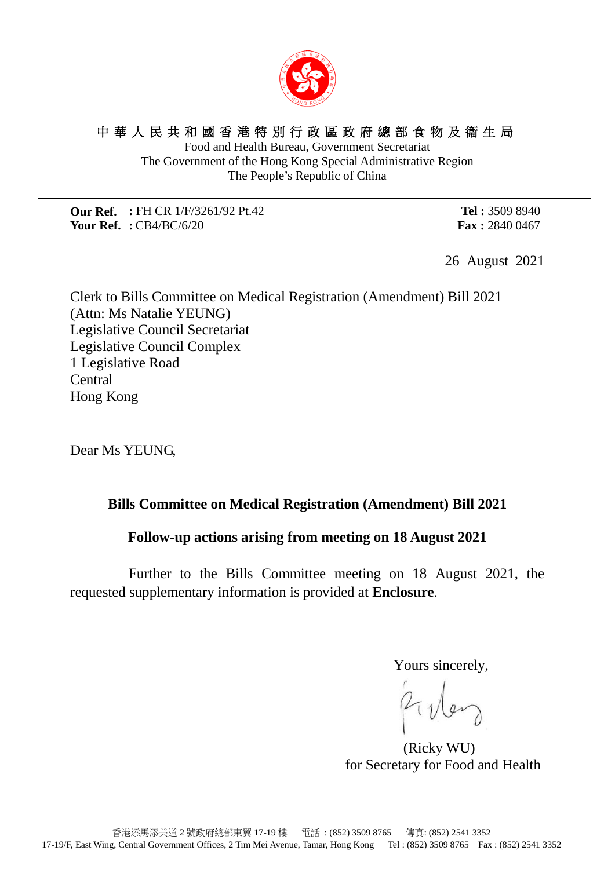

# 中華人民共和國香港特別行政區政府總部食物及衞生局

Food and Health Bureau, Government Secretariat The Government of the Hong Kong Special Administrative Region The People's Republic of China

**Our Ref. :** FH CR 1/F/3261/92 Pt.42 **Your Ref. :** CB4/BC/6/20

**Tel :** 3509 8940 **Fax :** 2840 0467

26 August 2021

Clerk to Bills Committee on Medical Registration (Amendment) Bill 2021 (Attn: Ms Natalie YEUNG) Legislative Council Secretariat Legislative Council Complex 1 Legislative Road Central Hong Kong

Dear Ms YEUNG,

## **Bills Committee on Medical Registration (Amendment) Bill 2021**

#### **Follow-up actions arising from meeting on 18 August 2021**

Further to the Bills Committee meeting on 18 August 2021, the requested supplementary information is provided at **Enclosure**.

Yours sincerely,

Filley

 (Ricky WU) for Secretary for Food and Health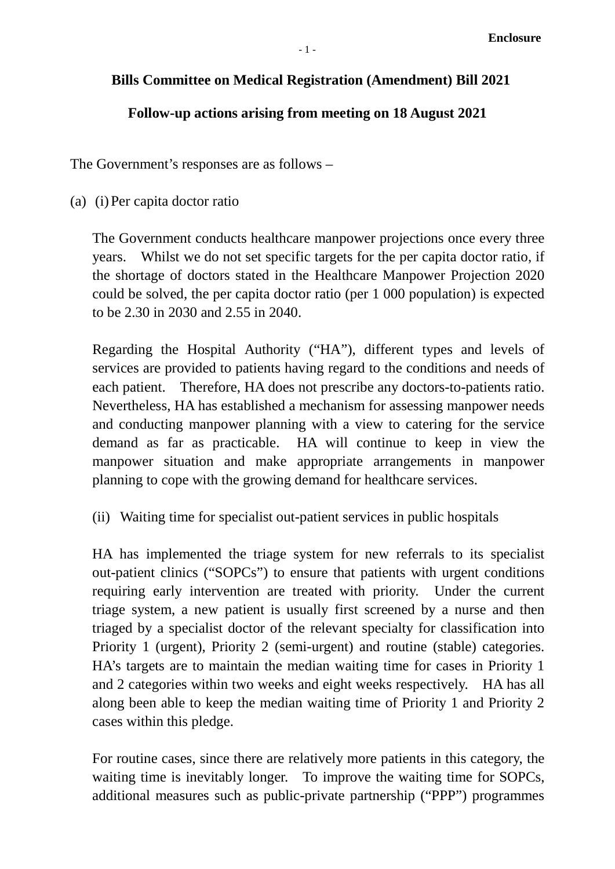## **Bills Committee on Medical Registration (Amendment) Bill 2021**

## **Follow-up actions arising from meeting on 18 August 2021**

The Government's responses are as follows –

(a) (i)Per capita doctor ratio

The Government conducts healthcare manpower projections once every three years. Whilst we do not set specific targets for the per capita doctor ratio, if the shortage of doctors stated in the Healthcare Manpower Projection 2020 could be solved, the per capita doctor ratio (per 1 000 population) is expected to be 2.30 in 2030 and 2.55 in 2040.

Regarding the Hospital Authority ("HA"), different types and levels of services are provided to patients having regard to the conditions and needs of each patient. Therefore, HA does not prescribe any doctors-to-patients ratio. Nevertheless, HA has established a mechanism for assessing manpower needs and conducting manpower planning with a view to catering for the service demand as far as practicable. HA will continue to keep in view the manpower situation and make appropriate arrangements in manpower planning to cope with the growing demand for healthcare services.

(ii) Waiting time for specialist out-patient services in public hospitals

HA has implemented the triage system for new referrals to its specialist out-patient clinics ("SOPCs") to ensure that patients with urgent conditions requiring early intervention are treated with priority. Under the current triage system, a new patient is usually first screened by a nurse and then triaged by a specialist doctor of the relevant specialty for classification into Priority 1 (urgent), Priority 2 (semi-urgent) and routine (stable) categories. HA's targets are to maintain the median waiting time for cases in Priority 1 and 2 categories within two weeks and eight weeks respectively. HA has all along been able to keep the median waiting time of Priority 1 and Priority 2 cases within this pledge.

For routine cases, since there are relatively more patients in this category, the waiting time is inevitably longer. To improve the waiting time for SOPCs, additional measures such as public-private partnership ("PPP") programmes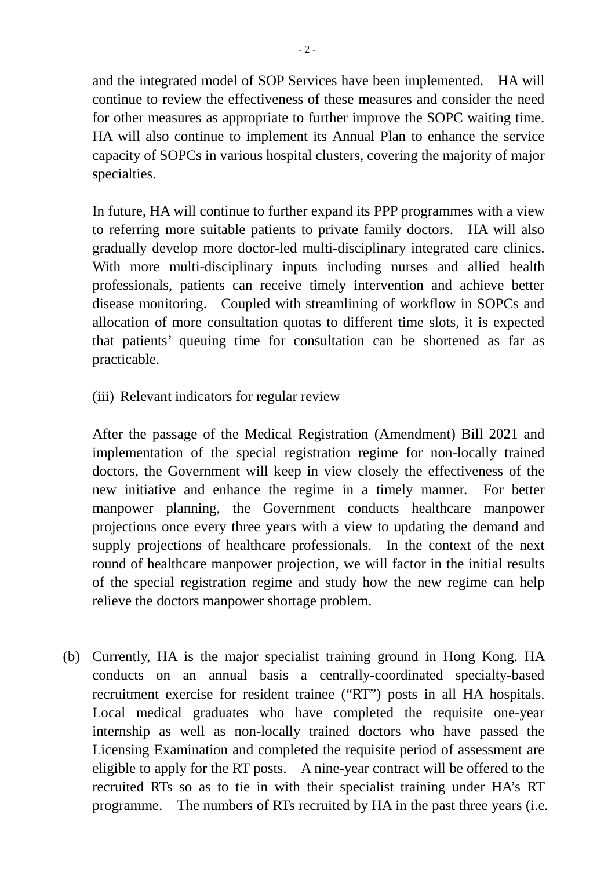and the integrated model of SOP Services have been implemented. HA will continue to review the effectiveness of these measures and consider the need for other measures as appropriate to further improve the SOPC waiting time. HA will also continue to implement its Annual Plan to enhance the service capacity of SOPCs in various hospital clusters, covering the majority of major specialties.

In future, HA will continue to further expand its PPP programmes with a view to referring more suitable patients to private family doctors. HA will also gradually develop more doctor-led multi-disciplinary integrated care clinics. With more multi-disciplinary inputs including nurses and allied health professionals, patients can receive timely intervention and achieve better disease monitoring. Coupled with streamlining of workflow in SOPCs and allocation of more consultation quotas to different time slots, it is expected that patients' queuing time for consultation can be shortened as far as practicable.

(iii) Relevant indicators for regular review

After the passage of the Medical Registration (Amendment) Bill 2021 and implementation of the special registration regime for non-locally trained doctors, the Government will keep in view closely the effectiveness of the new initiative and enhance the regime in a timely manner. For better manpower planning, the Government conducts healthcare manpower projections once every three years with a view to updating the demand and supply projections of healthcare professionals. In the context of the next round of healthcare manpower projection, we will factor in the initial results of the special registration regime and study how the new regime can help relieve the doctors manpower shortage problem.

(b) Currently, HA is the major specialist training ground in Hong Kong. HA conducts on an annual basis a centrally-coordinated specialty-based recruitment exercise for resident trainee ("RT") posts in all HA hospitals. Local medical graduates who have completed the requisite one-year internship as well as non-locally trained doctors who have passed the Licensing Examination and completed the requisite period of assessment are eligible to apply for the RT posts. A nine-year contract will be offered to the recruited RTs so as to tie in with their specialist training under HA's RT programme. The numbers of RTs recruited by HA in the past three years (i.e.